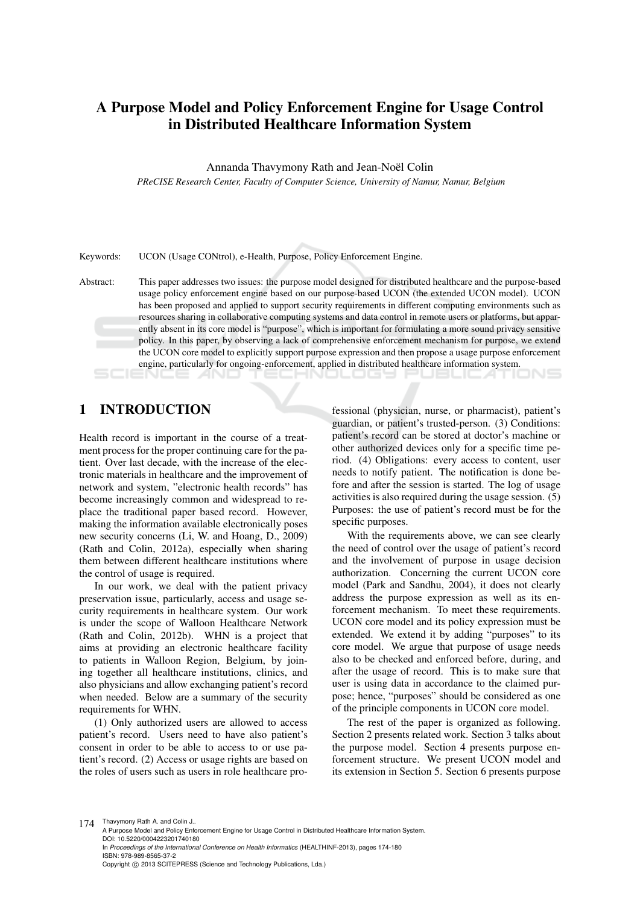# A Purpose Model and Policy Enforcement Engine for Usage Control in Distributed Healthcare Information System

Annanda Thavymony Rath and Jean-Noël Colin

*PReCISE Research Center, Faculty of Computer Science, University of Namur, Namur, Belgium*

Keywords: UCON (Usage CONtrol), e-Health, Purpose, Policy Enforcement Engine.

Abstract: This paper addresses two issues: the purpose model designed for distributed healthcare and the purpose-based usage policy enforcement engine based on our purpose-based UCON (the extended UCON model). UCON has been proposed and applied to support security requirements in different computing environments such as resources sharing in collaborative computing systems and data control in remote users or platforms, but apparently absent in its core model is "purpose", which is important for formulating a more sound privacy sensitive policy. In this paper, by observing a lack of comprehensive enforcement mechanism for purpose, we extend the UCON core model to explicitly support purpose expression and then propose a usage purpose enforcement engine, particularly for ongoing-enforcement, applied in distributed healthcare information system.

## 1 INTRODUCTION

Health record is important in the course of a treatment process for the proper continuing care for the patient. Over last decade, with the increase of the electronic materials in healthcare and the improvement of network and system, "electronic health records" has become increasingly common and widespread to replace the traditional paper based record. However, making the information available electronically poses new security concerns (Li, W. and Hoang, D., 2009) (Rath and Colin, 2012a), especially when sharing them between different healthcare institutions where the control of usage is required.

In our work, we deal with the patient privacy preservation issue, particularly, access and usage security requirements in healthcare system. Our work is under the scope of Walloon Healthcare Network (Rath and Colin, 2012b). WHN is a project that aims at providing an electronic healthcare facility to patients in Walloon Region, Belgium, by joining together all healthcare institutions, clinics, and also physicians and allow exchanging patient's record when needed. Below are a summary of the security requirements for WHN.

(1) Only authorized users are allowed to access patient's record. Users need to have also patient's consent in order to be able to access to or use patient's record. (2) Access or usage rights are based on the roles of users such as users in role healthcare pro-

fessional (physician, nurse, or pharmacist), patient's guardian, or patient's trusted-person. (3) Conditions: patient's record can be stored at doctor's machine or other authorized devices only for a specific time period. (4) Obligations: every access to content, user needs to notify patient. The notification is done before and after the session is started. The log of usage activities is also required during the usage session. (5) Purposes: the use of patient's record must be for the specific purposes.

With the requirements above, we can see clearly the need of control over the usage of patient's record and the involvement of purpose in usage decision authorization. Concerning the current UCON core model (Park and Sandhu, 2004), it does not clearly address the purpose expression as well as its enforcement mechanism. To meet these requirements. UCON core model and its policy expression must be extended. We extend it by adding "purposes" to its core model. We argue that purpose of usage needs also to be checked and enforced before, during, and after the usage of record. This is to make sure that user is using data in accordance to the claimed purpose; hence, "purposes" should be considered as one of the principle components in UCON core model.

The rest of the paper is organized as following. Section 2 presents related work. Section 3 talks about the purpose model. Section 4 presents purpose enforcement structure. We present UCON model and its extension in Section 5. Section 6 presents purpose

174 Thavymony Rath A. and Colin J..

A Purpose Model and Policy Enforcement Engine for Usage Control in Distributed Healthcare Information System. DOI: 10.5220/0004223201740180 In *Proceedings of the International Conference on Health Informatics* (HEALTHINF-2013), pages 174-180 ISBN: 978-989-8565-37-2 Copyright © 2013 SCITEPRESS (Science and Technology Publications, Lda.)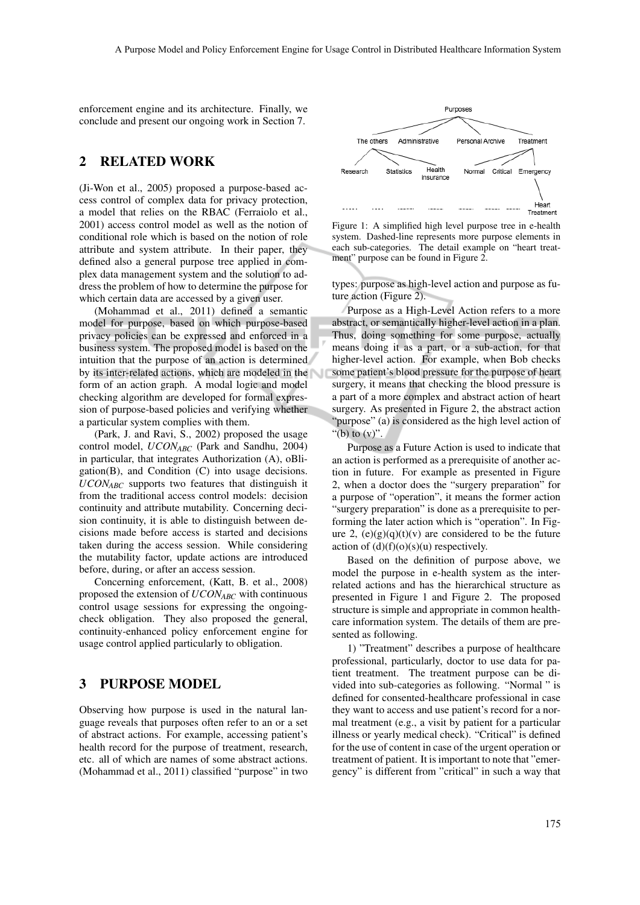enforcement engine and its architecture. Finally, we conclude and present our ongoing work in Section 7.

#### 2 RELATED WORK

(Ji-Won et al., 2005) proposed a purpose-based access control of complex data for privacy protection, a model that relies on the RBAC (Ferraiolo et al., 2001) access control model as well as the notion of conditional role which is based on the notion of role attribute and system attribute. In their paper, they defined also a general purpose tree applied in complex data management system and the solution to address the problem of how to determine the purpose for which certain data are accessed by a given user.

(Mohammad et al., 2011) defined a semantic model for purpose, based on which purpose-based privacy policies can be expressed and enforced in a business system. The proposed model is based on the intuition that the purpose of an action is determined by its inter-related actions, which are modeled in the form of an action graph. A modal logic and model checking algorithm are developed for formal expression of purpose-based policies and verifying whether a particular system complies with them.

(Park, J. and Ravi, S., 2002) proposed the usage control model, *UCONABC* (Park and Sandhu, 2004) in particular, that integrates Authorization (A), oBligation(B), and Condition (C) into usage decisions. *UCONABC* supports two features that distinguish it from the traditional access control models: decision continuity and attribute mutability. Concerning decision continuity, it is able to distinguish between decisions made before access is started and decisions taken during the access session. While considering the mutability factor, update actions are introduced before, during, or after an access session.

Concerning enforcement, (Katt, B. et al., 2008) proposed the extension of *UCONABC* with continuous control usage sessions for expressing the ongoingcheck obligation. They also proposed the general, continuity-enhanced policy enforcement engine for usage control applied particularly to obligation.

#### 3 PURPOSE MODEL

Observing how purpose is used in the natural language reveals that purposes often refer to an or a set of abstract actions. For example, accessing patient's health record for the purpose of treatment, research, etc. all of which are names of some abstract actions. (Mohammad et al., 2011) classified "purpose" in two



Figure 1: A simplified high level purpose tree in e-health system. Dashed-line represents more purpose elements in each sub-categories. The detail example on "heart treatment" purpose can be found in Figure 2.

types: purpose as high-level action and purpose as future action (Figure 2).

Purpose as a High-Level Action refers to a more abstract, or semantically higher-level action in a plan. Thus, doing something for some purpose, actually means doing it as a part, or a sub-action, for that higher-level action. For example, when Bob checks some patient's blood pressure for the purpose of heart surgery, it means that checking the blood pressure is a part of a more complex and abstract action of heart surgery. As presented in Figure 2, the abstract action "purpose" (a) is considered as the high level action of "(b) to  $(v)$ "

Purpose as a Future Action is used to indicate that an action is performed as a prerequisite of another action in future. For example as presented in Figure 2, when a doctor does the "surgery preparation" for a purpose of "operation", it means the former action "surgery preparation" is done as a prerequisite to performing the later action which is "operation". In Figure 2,  $(e)(g)(q)(t)(v)$  are considered to be the future action of  $(d)(f)(o)(s)(u)$  respectively.

Based on the definition of purpose above, we model the purpose in e-health system as the interrelated actions and has the hierarchical structure as presented in Figure 1 and Figure 2. The proposed structure is simple and appropriate in common healthcare information system. The details of them are presented as following.

1) "Treatment" describes a purpose of healthcare professional, particularly, doctor to use data for patient treatment. The treatment purpose can be divided into sub-categories as following. "Normal " is defined for consented-healthcare professional in case they want to access and use patient's record for a normal treatment (e.g., a visit by patient for a particular illness or yearly medical check). "Critical" is defined for the use of content in case of the urgent operation or treatment of patient. It is important to note that "emergency" is different from "critical" in such a way that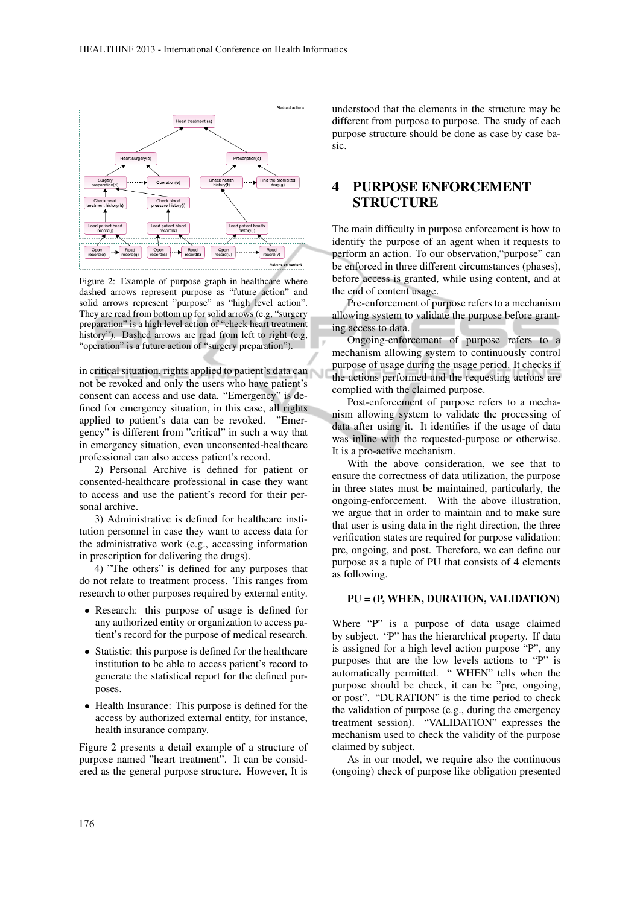

Figure 2: Example of purpose graph in healthcare where dashed arrows represent purpose as "future action" and solid arrows represent "purpose" as "high level action". They are read from bottom up for solid arrows (e.g, "surgery preparation" is a high level action of "check heart treatment history"). Dashed arrows are read from left to right (e.g, "operation" is a future action of "surgery preparation").

in critical situation, rights applied to patient's data can not be revoked and only the users who have patient's consent can access and use data. "Emergency" is defined for emergency situation, in this case, all rights applied to patient's data can be revoked. "Emergency" is different from "critical" in such a way that in emergency situation, even unconsented-healthcare professional can also access patient's record.

2) Personal Archive is defined for patient or consented-healthcare professional in case they want to access and use the patient's record for their personal archive.

3) Administrative is defined for healthcare institution personnel in case they want to access data for the administrative work (e.g., accessing information in prescription for delivering the drugs).

4) "The others" is defined for any purposes that do not relate to treatment process. This ranges from research to other purposes required by external entity.

- Research: this purpose of usage is defined for any authorized entity or organization to access patient's record for the purpose of medical research.
- Statistic: this purpose is defined for the healthcare institution to be able to access patient's record to generate the statistical report for the defined purposes.
- Health Insurance: This purpose is defined for the access by authorized external entity, for instance, health insurance company.

Figure 2 presents a detail example of a structure of purpose named "heart treatment". It can be considered as the general purpose structure. However, It is

understood that the elements in the structure may be different from purpose to purpose. The study of each purpose structure should be done as case by case basic.

#### PURPOSE ENFORCEMENT **STRUCTURE**

The main difficulty in purpose enforcement is how to identify the purpose of an agent when it requests to perform an action. To our observation,"purpose" can be enforced in three different circumstances (phases), before access is granted, while using content, and at the end of content usage.

Pre-enforcement of purpose refers to a mechanism allowing system to validate the purpose before granting access to data.

Ongoing-enforcement of purpose refers to a mechanism allowing system to continuously control purpose of usage during the usage period. It checks if the actions performed and the requesting actions are complied with the claimed purpose.

Post-enforcement of purpose refers to a mechanism allowing system to validate the processing of data after using it. It identifies if the usage of data was inline with the requested-purpose or otherwise. It is a pro-active mechanism.

With the above consideration, we see that to ensure the correctness of data utilization, the purpose in three states must be maintained, particularly, the ongoing-enforcement. With the above illustration, we argue that in order to maintain and to make sure that user is using data in the right direction, the three verification states are required for purpose validation: pre, ongoing, and post. Therefore, we can define our purpose as a tuple of PU that consists of 4 elements as following.

#### PU = (P, WHEN, DURATION, VALIDATION)

Where "P" is a purpose of data usage claimed by subject. "P" has the hierarchical property. If data is assigned for a high level action purpose "P", any purposes that are the low levels actions to "P" is automatically permitted. " WHEN" tells when the purpose should be check, it can be "pre, ongoing, or post". "DURATION" is the time period to check the validation of purpose (e.g., during the emergency treatment session). "VALIDATION" expresses the mechanism used to check the validity of the purpose claimed by subject.

As in our model, we require also the continuous (ongoing) check of purpose like obligation presented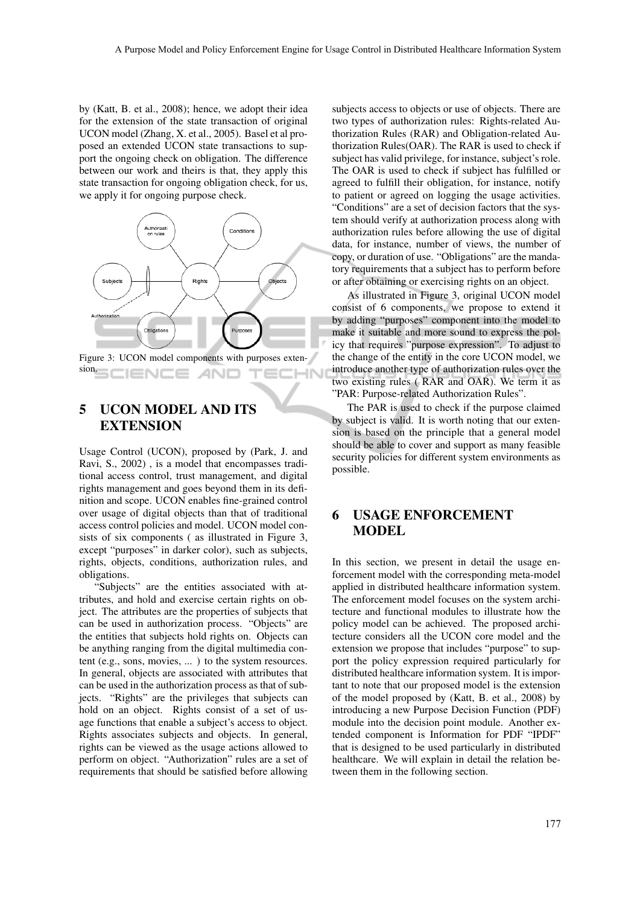by (Katt, B. et al., 2008); hence, we adopt their idea for the extension of the state transaction of original UCON model (Zhang, X. et al., 2005). Basel et al proposed an extended UCON state transactions to support the ongoing check on obligation. The difference between our work and theirs is that, they apply this state transaction for ongoing obligation check, for us, we apply it for ongoing purpose check.



Figure 3: UCON model components with purposes extension. TECHN **IENCE AND** 

## 5 UCON MODEL AND ITS EXTENSION

Usage Control (UCON), proposed by (Park, J. and Ravi, S., 2002) , is a model that encompasses traditional access control, trust management, and digital rights management and goes beyond them in its definition and scope. UCON enables fine-grained control over usage of digital objects than that of traditional access control policies and model. UCON model consists of six components ( as illustrated in Figure 3, except "purposes" in darker color), such as subjects, rights, objects, conditions, authorization rules, and obligations.

"Subjects" are the entities associated with attributes, and hold and exercise certain rights on object. The attributes are the properties of subjects that can be used in authorization process. "Objects" are the entities that subjects hold rights on. Objects can be anything ranging from the digital multimedia content (e.g., sons, movies, ... ) to the system resources. In general, objects are associated with attributes that can be used in the authorization process as that of subjects. "Rights" are the privileges that subjects can hold on an object. Rights consist of a set of usage functions that enable a subject's access to object. Rights associates subjects and objects. In general, rights can be viewed as the usage actions allowed to perform on object. "Authorization" rules are a set of requirements that should be satisfied before allowing

subjects access to objects or use of objects. There are two types of authorization rules: Rights-related Authorization Rules (RAR) and Obligation-related Authorization Rules(OAR). The RAR is used to check if subject has valid privilege, for instance, subject's role. The OAR is used to check if subject has fulfilled or agreed to fulfill their obligation, for instance, notify to patient or agreed on logging the usage activities. "Conditions" are a set of decision factors that the system should verify at authorization process along with authorization rules before allowing the use of digital data, for instance, number of views, the number of copy, or duration of use. "Obligations" are the mandatory requirements that a subject has to perform before or after obtaining or exercising rights on an object.

As illustrated in Figure 3, original UCON model consist of 6 components, we propose to extend it by adding "purposes" component into the model to make it suitable and more sound to express the policy that requires "purpose expression". To adjust to the change of the entity in the core UCON model, we introduce another type of authorization rules over the two existing rules ( RAR and OAR). We term it as "PAR: Purpose-related Authorization Rules".

The PAR is used to check if the purpose claimed by subject is valid. It is worth noting that our extension is based on the principle that a general model should be able to cover and support as many feasible security policies for different system environments as possible.

## 6 USAGE ENFORCEMENT MODEL

In this section, we present in detail the usage enforcement model with the corresponding meta-model applied in distributed healthcare information system. The enforcement model focuses on the system architecture and functional modules to illustrate how the policy model can be achieved. The proposed architecture considers all the UCON core model and the extension we propose that includes "purpose" to support the policy expression required particularly for distributed healthcare information system. It is important to note that our proposed model is the extension of the model proposed by (Katt, B. et al., 2008) by introducing a new Purpose Decision Function (PDF) module into the decision point module. Another extended component is Information for PDF "IPDF" that is designed to be used particularly in distributed healthcare. We will explain in detail the relation between them in the following section.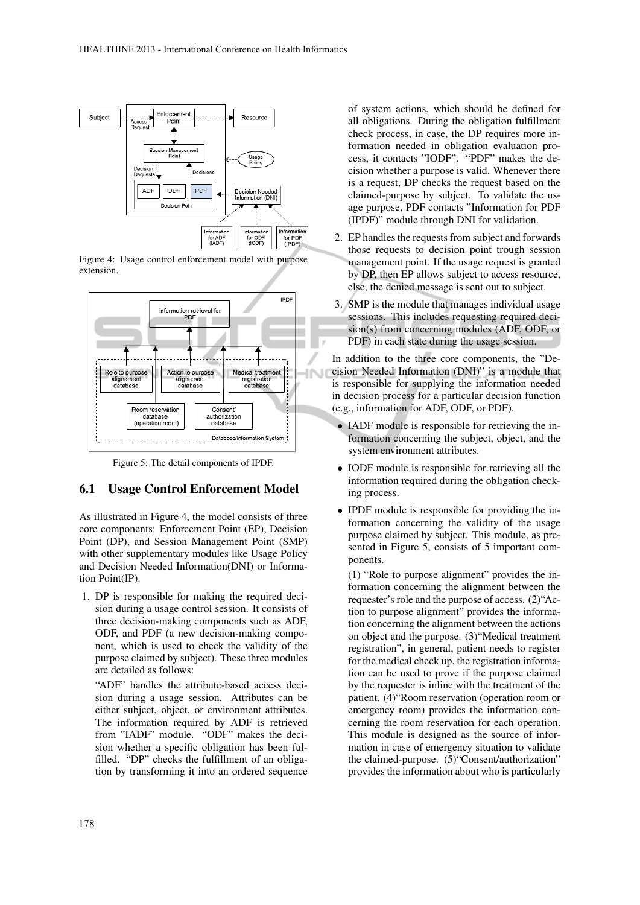

Figure 4: Usage control enforcement model with purpose extension.



Figure 5: The detail components of IPDF.

#### 6.1 Usage Control Enforcement Model

As illustrated in Figure 4, the model consists of three core components: Enforcement Point (EP), Decision Point (DP), and Session Management Point (SMP) with other supplementary modules like Usage Policy and Decision Needed Information(DNI) or Information Point(IP).

1. DP is responsible for making the required decision during a usage control session. It consists of three decision-making components such as ADF, ODF, and PDF (a new decision-making component, which is used to check the validity of the purpose claimed by subject). These three modules are detailed as follows:

"ADF" handles the attribute-based access decision during a usage session. Attributes can be either subject, object, or environment attributes. The information required by ADF is retrieved from "IADF" module. "ODF" makes the decision whether a specific obligation has been fulfilled. "DP" checks the fulfillment of an obligation by transforming it into an ordered sequence

of system actions, which should be defined for all obligations. During the obligation fulfillment check process, in case, the DP requires more information needed in obligation evaluation process, it contacts "IODF". "PDF" makes the decision whether a purpose is valid. Whenever there is a request, DP checks the request based on the claimed-purpose by subject. To validate the usage purpose, PDF contacts "Information for PDF (IPDF)" module through DNI for validation.

- 2. EP handles the requests from subject and forwards those requests to decision point trough session management point. If the usage request is granted by DP, then EP allows subject to access resource, else, the denied message is sent out to subject.
- 3. SMP is the module that manages individual usage sessions. This includes requesting required decision(s) from concerning modules (ADF, ODF, or PDF) in each state during the usage session.

In addition to the three core components, the "Decision Needed Information (DNI)" is a module that is responsible for supplying the information needed in decision process for a particular decision function (e.g., information for ADF, ODF, or PDF).

- IADF module is responsible for retrieving the information concerning the subject, object, and the system environment attributes.
- IODF module is responsible for retrieving all the information required during the obligation checking process.
- IPDF module is responsible for providing the information concerning the validity of the usage purpose claimed by subject. This module, as presented in Figure 5, consists of 5 important components.

(1) "Role to purpose alignment" provides the information concerning the alignment between the requester's role and the purpose of access. (2)"Action to purpose alignment" provides the information concerning the alignment between the actions on object and the purpose. (3)"Medical treatment registration", in general, patient needs to register for the medical check up, the registration information can be used to prove if the purpose claimed by the requester is inline with the treatment of the patient. (4)"Room reservation (operation room or emergency room) provides the information concerning the room reservation for each operation. This module is designed as the source of information in case of emergency situation to validate the claimed-purpose. (5)"Consent/authorization" provides the information about who is particularly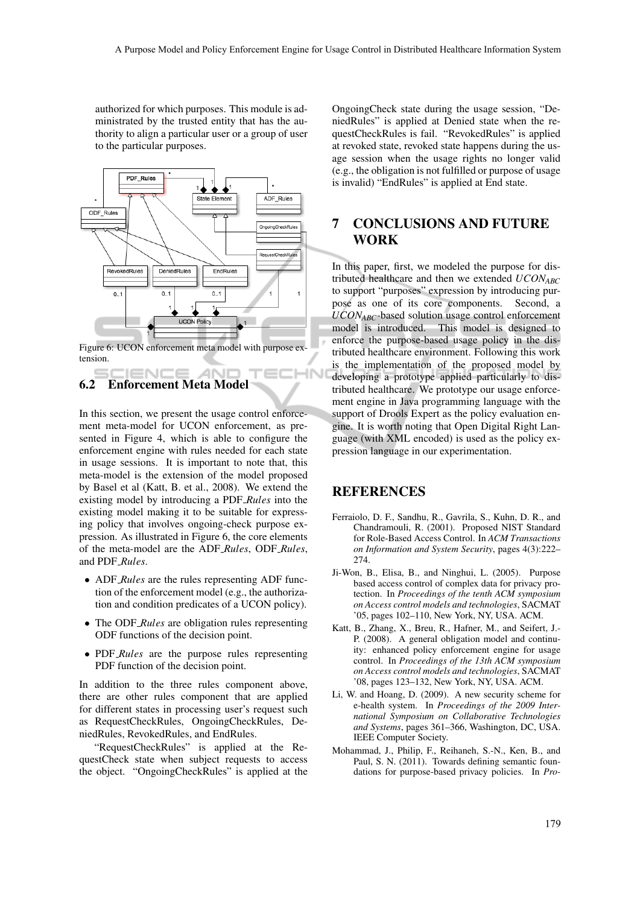authorized for which purposes. This module is administrated by the trusted entity that has the authority to align a particular user or a group of user to the particular purposes.



Figure 6: UCON enforcement meta model with purpose extension.

ANI

IHN

#### IENCE 6.2 Enforcement Meta Model

In this section, we present the usage control enforcement meta-model for UCON enforcement, as presented in Figure 4, which is able to configure the enforcement engine with rules needed for each state in usage sessions. It is important to note that, this meta-model is the extension of the model proposed by Basel et al (Katt, B. et al., 2008). We extend the existing model by introducing a PDF *Rules* into the existing model making it to be suitable for expressing policy that involves ongoing-check purpose expression. As illustrated in Figure 6, the core elements of the meta-model are the ADF *Rules*, ODF *Rules*, and PDF *Rules*.

- ADF *Rules* are the rules representing ADF function of the enforcement model (e.g., the authorization and condition predicates of a UCON policy).
- The ODF *Rules* are obligation rules representing ODF functions of the decision point.
- PDF *Rules* are the purpose rules representing PDF function of the decision point.

In addition to the three rules component above, there are other rules component that are applied for different states in processing user's request such as RequestCheckRules, OngoingCheckRules, DeniedRules, RevokedRules, and EndRules.

"RequestCheckRules" is applied at the RequestCheck state when subject requests to access the object. "OngoingCheckRules" is applied at the OngoingCheck state during the usage session, "DeniedRules" is applied at Denied state when the requestCheckRules is fail. "RevokedRules" is applied at revoked state, revoked state happens during the usage session when the usage rights no longer valid (e.g., the obligation is not fulfilled or purpose of usage is invalid) "EndRules" is applied at End state.

### 7 CONCLUSIONS AND FUTURE WORK

In this paper, first, we modeled the purpose for distributed healthcare and then we extended *UCONABC* to support "purposes" expression by introducing purpose as one of its core components. Second, a *UCONABC*-based solution usage control enforcement model is introduced. This model is designed to enforce the purpose-based usage policy in the distributed healthcare environment. Following this work is the implementation of the proposed model by developing a prototype applied particularly to distributed healthcare. We prototype our usage enforcement engine in Java programming language with the support of Drools Expert as the policy evaluation engine. It is worth noting that Open Digital Right Language (with XML encoded) is used as the policy expression language in our experimentation.

#### REFERENCES

- Ferraiolo, D. F., Sandhu, R., Gavrila, S., Kuhn, D. R., and Chandramouli, R. (2001). Proposed NIST Standard for Role-Based Access Control. In *ACM Transactions on Information and System Security*, pages 4(3):222– 274.
- Ji-Won, B., Elisa, B., and Ninghui, L. (2005). Purpose based access control of complex data for privacy protection. In *Proceedings of the tenth ACM symposium on Access control models and technologies*, SACMAT '05, pages 102–110, New York, NY, USA. ACM.
- Katt, B., Zhang, X., Breu, R., Hafner, M., and Seifert, J.- P. (2008). A general obligation model and continuity: enhanced policy enforcement engine for usage control. In *Proceedings of the 13th ACM symposium on Access control models and technologies*, SACMAT '08, pages 123–132, New York, NY, USA. ACM.
- Li, W. and Hoang, D. (2009). A new security scheme for e-health system. In *Proceedings of the 2009 International Symposium on Collaborative Technologies and Systems*, pages 361–366, Washington, DC, USA. IEEE Computer Society.
- Mohammad, J., Philip, F., Reihaneh, S.-N., Ken, B., and Paul, S. N. (2011). Towards defining semantic foundations for purpose-based privacy policies. In *Pro-*